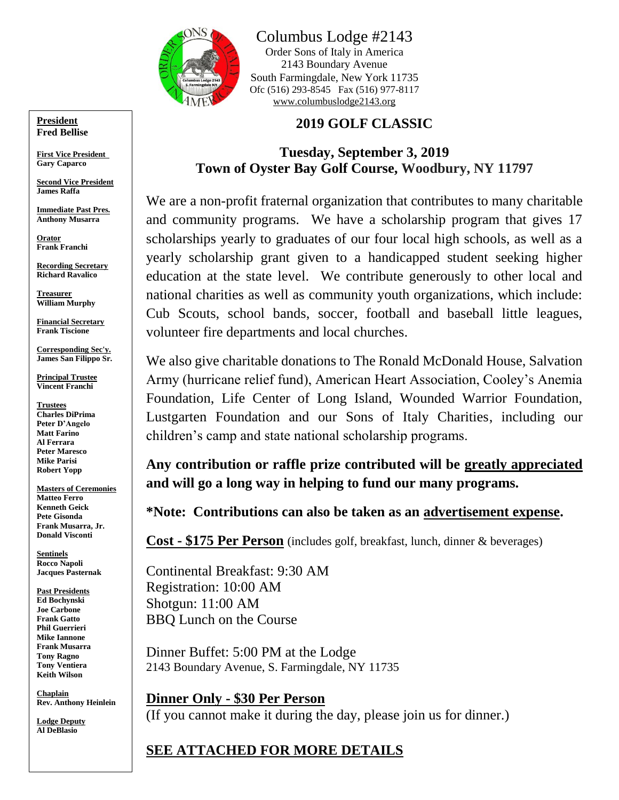

Columbus Lodge #2143

Order Sons of Italy in America 2143 Boundary Avenue South Farmingdale, New York 11735 Ofc (516) 293-8545 Fax (516) 977-8117 [www.columbuslodge2143.org](http://www.columbuslodge2143.org/)

### **2019 GOLF CLASSIC**

### **Tuesday, September 3, 2019 Town of Oyster Bay Golf Course, Woodbury, NY 11797**

We are a non-profit fraternal organization that contributes to many charitable and community programs. We have a scholarship program that gives 17 scholarships yearly to graduates of our four local high schools, as well as a yearly scholarship grant given to a handicapped student seeking higher education at the state level. We contribute generously to other local and national charities as well as community youth organizations, which include: Cub Scouts, school bands, soccer, football and baseball little leagues, volunteer fire departments and local churches.

We also give charitable donations to The Ronald McDonald House, Salvation Army (hurricane relief fund), American Heart Association, Cooley's Anemia Foundation, Life Center of Long Island, Wounded Warrior Foundation, Lustgarten Foundation and our Sons of Italy Charities, including our children's camp and state national scholarship programs.

**Any contribution or raffle prize contributed will be greatly appreciated and will go a long way in helping to fund our many programs.**

**\*Note: Contributions can also be taken as an advertisement expense.**

**Cost - \$175 Per Person** (includes golf, breakfast, lunch, dinner & beverages)

Continental Breakfast: 9:30 AM Registration: 10:00 AM Shotgun: 11:00 AM BBQ Lunch on the Course

Dinner Buffet: 5:00 PM at the Lodge 2143 Boundary Avenue, S. Farmingdale, NY 11735

**Dinner Only - \$30 Per Person** (If you cannot make it during the day, please join us for dinner.)

# **SEE ATTACHED FOR MORE DETAILS**

**President Fred Bellise**

**First Vice President Gary Caparco**

**Second Vice President James Raffa**

**Immediate Past Pres. Anthony Musarra**

**Orator Frank Franchi**

**Recording Secretary Richard Ravalico**

**Treasurer William Murphy**

**Financial Secretary Frank Tiscione**

**Corresponding Sec'y. James San Filippo Sr.**

**Principal Trustee Vincent Franchi**

**Trustees Charles DiPrima Peter D'Angelo Matt Farino Al Ferrara Peter Maresco Mike Parisi Robert Yopp**

**Masters of Ceremonies Matteo Ferro Kenneth Geick Pete Gisonda Frank Musarra, Jr. Donald Visconti**

**Sentinels Rocco Napoli Jacques Pasternak**

**Past Presidents Ed Bochynski Joe Carbone Frank Gatto Phil Guerrieri Mike Iannone Frank Musarra Tony Ragno Tony Ventiera Keith Wilson**

**Chaplain Rev. Anthony Heinlein**

**Lodge Deputy Al DeBlasio**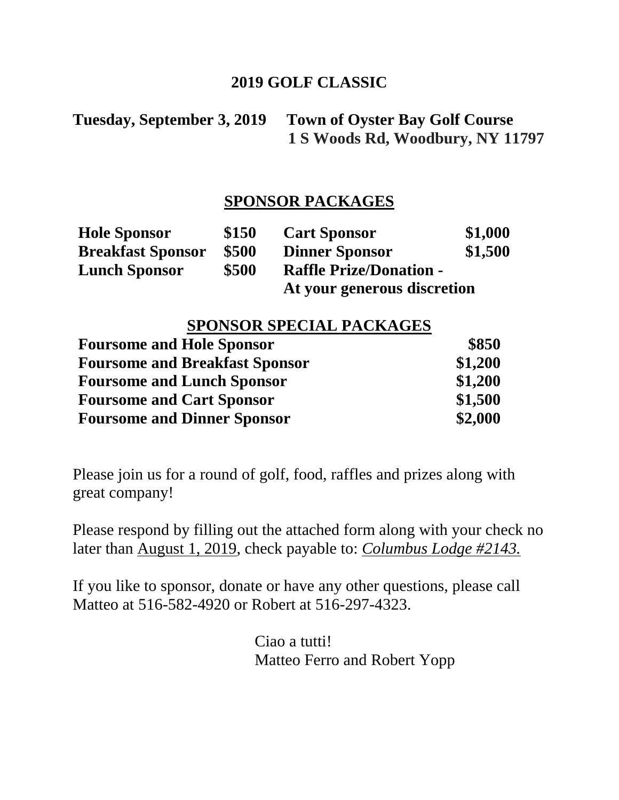## **2019 GOLF CLASSIC**

**Tuesday, September 3, 2019 Town of Oyster Bay Golf Course 1 S Woods Rd, Woodbury, NY 11797**

# **SPONSOR PACKAGES**

| <b>Hole Sponsor</b>      | \$150 | <b>Cart Sponsor</b>            | \$1,000 |
|--------------------------|-------|--------------------------------|---------|
| <b>Breakfast Sponsor</b> | \$500 | <b>Dinner Sponsor</b>          | \$1,500 |
| <b>Lunch Sponsor</b>     | \$500 | <b>Raffle Prize/Donation -</b> |         |
|                          |       | At your generous discretion    |         |

# **SPONSOR SPECIAL PACKAGES**

| <b>Foursome and Hole Sponsor</b>      | \$850   |
|---------------------------------------|---------|
| <b>Foursome and Breakfast Sponsor</b> | \$1,200 |
| <b>Foursome and Lunch Sponsor</b>     | \$1,200 |
| <b>Foursome and Cart Sponsor</b>      | \$1,500 |
| <b>Foursome and Dinner Sponsor</b>    | \$2,000 |

Please join us for a round of golf, food, raffles and prizes along with great company!

Please respond by filling out the attached form along with your check no later than August 1, 2019, check payable to: *Columbus Lodge #2143.*

If you like to sponsor, donate or have any other questions, please call Matteo at 516-582-4920 or Robert at 516-297-4323.

> Ciao a tutti! Matteo Ferro and Robert Yopp